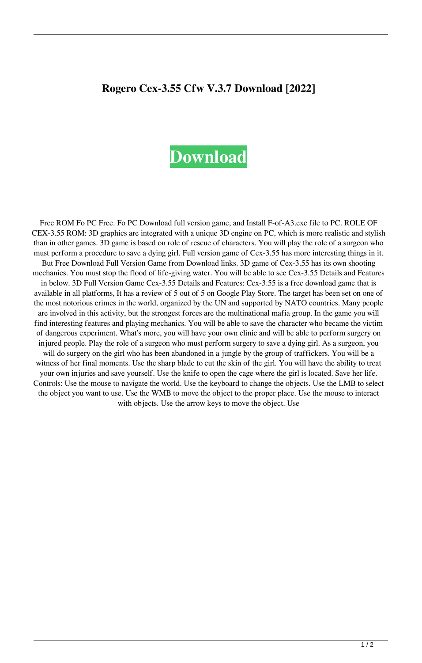## **Rogero Cex-3.55 Cfw V.3.7 Download [2022]**

## **[Download](http://evacdir.com/Um9nZXJvIENleC0zLjU1IENmdyBWLjMuNyBEb3dubG9hZAUm9.directs?motts=pavels/takeoff&ZG93bmxvYWR8V28yTVhaaU1ueDhNVFkxTWpRMk16QTFNSHg4TWpVM05IeDhLRTBwSUhKbFlXUXRZbXh2WnlCYlJtRnpkQ0JIUlU1ZA=polytarps&embankment)**

Free ROM Fo PC Free. Fo PC Download full version game, and Install F-of-A3.exe file to PC. ROLE OF CEX-3.55 ROM: 3D graphics are integrated with a unique 3D engine on PC, which is more realistic and stylish than in other games. 3D game is based on role of rescue of characters. You will play the role of a surgeon who must perform a procedure to save a dying girl. Full version game of Cex-3.55 has more interesting things in it. But Free Download Full Version Game from Download links. 3D game of Cex-3.55 has its own shooting mechanics. You must stop the flood of life-giving water. You will be able to see Cex-3.55 Details and Features in below. 3D Full Version Game Cex-3.55 Details and Features: Cex-3.55 is a free download game that is available in all platforms, It has a review of 5 out of 5 on Google Play Store. The target has been set on one of the most notorious crimes in the world, organized by the UN and supported by NATO countries. Many people are involved in this activity, but the strongest forces are the multinational mafia group. In the game you will find interesting features and playing mechanics. You will be able to save the character who became the victim of dangerous experiment. What's more, you will have your own clinic and will be able to perform surgery on injured people. Play the role of a surgeon who must perform surgery to save a dying girl. As a surgeon, you will do surgery on the girl who has been abandoned in a jungle by the group of traffickers. You will be a witness of her final moments. Use the sharp blade to cut the skin of the girl. You will have the ability to treat your own injuries and save yourself. Use the knife to open the cage where the girl is located. Save her life. Controls: Use the mouse to navigate the world. Use the keyboard to change the objects. Use the LMB to select the object you want to use. Use the WMB to move the object to the proper place. Use the mouse to interact with objects. Use the arrow keys to move the object. Use